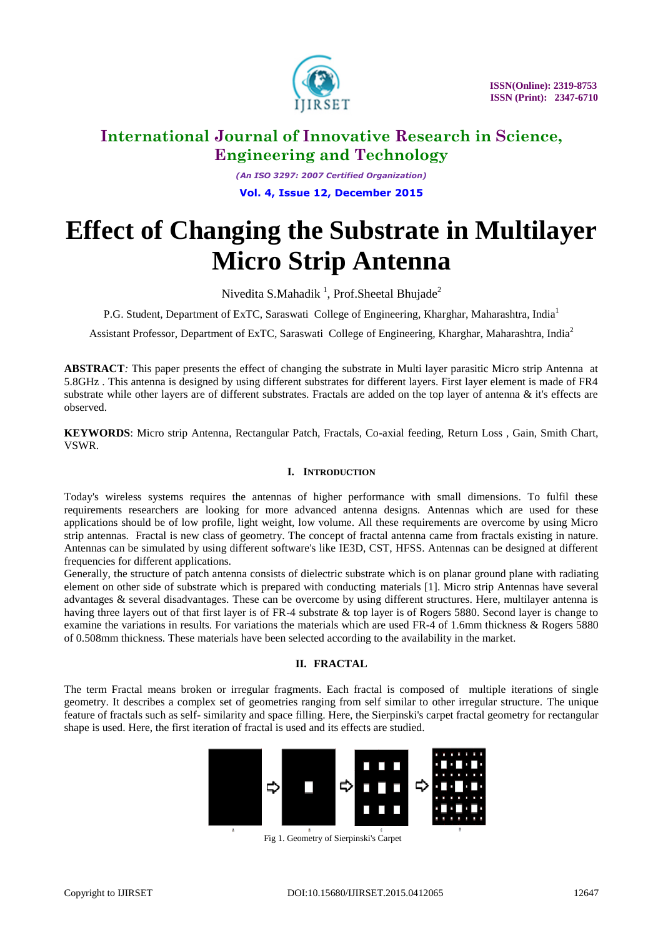

*(An ISO 3297: 2007 Certified Organization)* **Vol. 4, Issue 12, December 2015**

# **Effect of Changing the Substrate in Multilayer Micro Strip Antenna**

Nivedita S.Mahadik<sup>1</sup>, Prof.Sheetal Bhujade<sup>2</sup>

P.G. Student, Department of ExTC, Saraswati College of Engineering, Kharghar, Maharashtra, India<sup>1</sup>

Assistant Professor, Department of ExTC, Saraswati College of Engineering, Kharghar, Maharashtra, India<sup>2</sup>

**ABSTRACT***:* This paper presents the effect of changing the substrate in Multi layer parasitic Micro strip Antenna at 5.8GHz . This antenna is designed by using different substrates for different layers. First layer element is made of FR4 substrate while other layers are of different substrates. Fractals are added on the top layer of antenna & it's effects are observed.

**KEYWORDS**: Micro strip Antenna, Rectangular Patch, Fractals, Co-axial feeding, Return Loss , Gain, Smith Chart, VSWR.

#### **I. INTRODUCTION**

Today's wireless systems requires the antennas of higher performance with small dimensions. To fulfil these requirements researchers are looking for more advanced antenna designs. Antennas which are used for these applications should be of low profile, light weight, low volume. All these requirements are overcome by using Micro strip antennas. Fractal is new class of geometry. The concept of fractal antenna came from fractals existing in nature. Antennas can be simulated by using different software's like IE3D, CST, HFSS. Antennas can be designed at different frequencies for different applications.

Generally, the structure of patch antenna consists of dielectric substrate which is on planar ground plane with radiating element on other side of substrate which is prepared with conducting materials [1]. Micro strip Antennas have several advantages & several disadvantages. These can be overcome by using different structures. Here, multilayer antenna is having three layers out of that first layer is of FR-4 substrate & top layer is of Rogers 5880. Second layer is change to examine the variations in results. For variations the materials which are used FR-4 of 1.6mm thickness & Rogers 5880 of 0.508mm thickness. These materials have been selected according to the availability in the market.

### **II. FRACTAL**

The term Fractal means broken or irregular fragments. Each fractal is composed of multiple iterations of single geometry. It describes a complex set of geometries ranging from self similar to other irregular structure. The unique feature of fractals such as self- similarity and space filling. Here, the Sierpinski's carpet fractal geometry for rectangular shape is used. Here, the first iteration of fractal is used and its effects are studied.



Fig 1. Geometry of Sierpinski's Carpet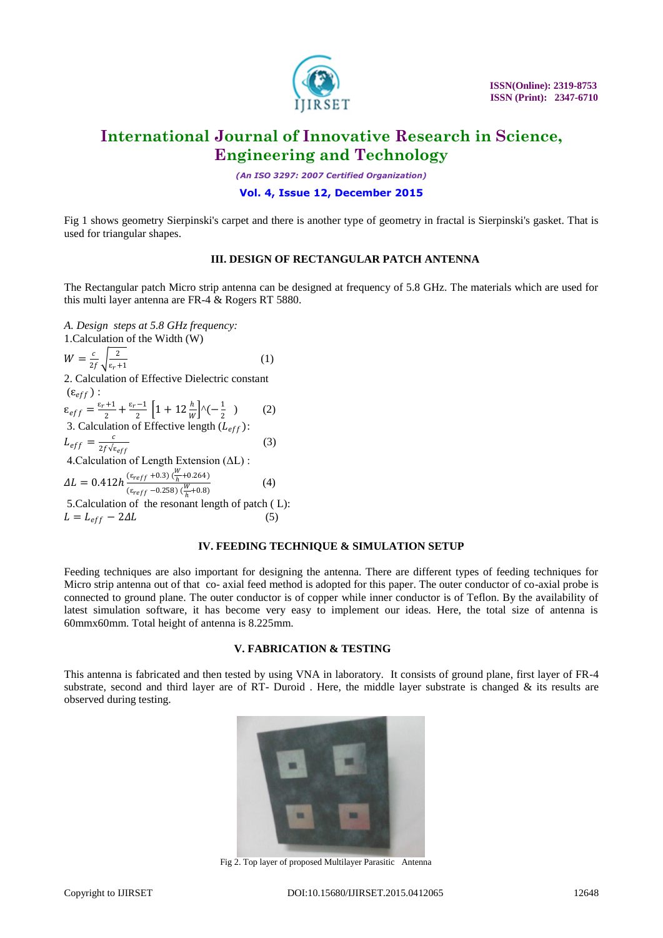

*(An ISO 3297: 2007 Certified Organization)*

### **Vol. 4, Issue 12, December 2015**

Fig 1 shows geometry Sierpinski's carpet and there is another type of geometry in fractal is Sierpinski's gasket. That is used for triangular shapes.

#### **III. DESIGN OF RECTANGULAR PATCH ANTENNA**

The Rectangular patch Micro strip antenna can be designed at frequency of 5.8 GHz. The materials which are used for this multi layer antenna are FR-4 & Rogers RT 5880.

*A. Design steps at 5.8 GHz frequency:* 1.Calculation of the Width (W)  $W=\frac{c}{2}$  $\frac{c}{2f}$  $\sqrt{\frac{2}{\epsilon_r}}$  $\varepsilon_r+1$  $(1)$ 2. Calculation of Effective Dielectric constant  $(\epsilon_{eff})$  :  $\varepsilon_{eff} = \frac{\varepsilon_r + 1}{2}$  $\frac{1}{2} + \frac{\epsilon_r - 1}{2}$  $\frac{1}{2}$   $\left[1 + 12 \frac{h}{W}\right]$  ^  $\left(-\frac{1}{2}\right)$  $(\frac{1}{2})$  (2) 3. Calculation of Effective length  $(L_{eff})$ :  $L_{eff}=\frac{c}{2f\sqrt{s}}$  $2f √ ε_{eff}$  $(3)$ 4.Calculation of Length Extension (ΔL) :  $\Delta L = 0.412h \frac{(\varepsilon_{reff} + 0.3) (\frac{W}{h} + 0.264)}{2.258 \sqrt{W} + 0.281}$  $\sqrt{(\varepsilon_{reff} - 0.258) (\frac{W}{h} + 0.8)}$  (4) 5.Calculation of the resonant length of patch ( L):  $L = L_{eff} - 2\Delta L$  (5)

#### **IV. FEEDING TECHNIQUE & SIMULATION SETUP**

Feeding techniques are also important for designing the antenna. There are different types of feeding techniques for Micro strip antenna out of that co- axial feed method is adopted for this paper. The outer conductor of co-axial probe is connected to ground plane. The outer conductor is of copper while inner conductor is of Teflon. By the availability of latest simulation software, it has become very easy to implement our ideas. Here, the total size of antenna is 60mmx60mm. Total height of antenna is 8.225mm.

#### **V. FABRICATION & TESTING**

This antenna is fabricated and then tested by using VNA in laboratory. It consists of ground plane, first layer of FR-4 substrate, second and third layer are of RT- Duroid. Here, the middle layer substrate is changed  $\&$  its results are observed during testing.



Fig 2. Top layer of proposed Multilayer Parasitic Antenna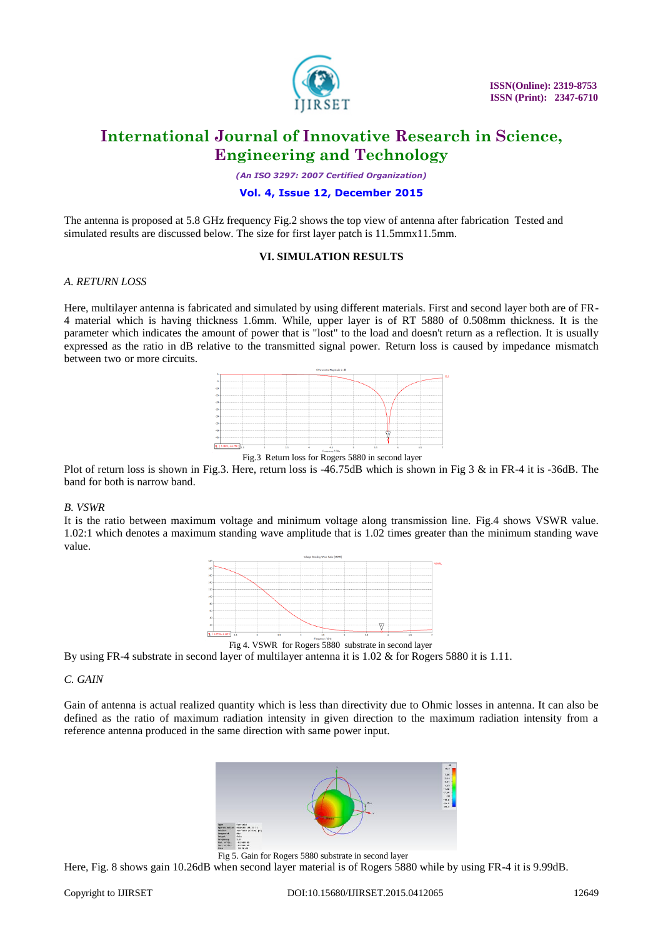

*(An ISO 3297: 2007 Certified Organization)*

#### **Vol. 4, Issue 12, December 2015**

The antenna is proposed at 5.8 GHz frequency Fig.2 shows the top view of antenna after fabrication Tested and simulated results are discussed below. The size for first layer patch is 11.5mmx11.5mm.

#### **VI. SIMULATION RESULTS**

#### *A. RETURN LOSS*

Here, multilayer antenna is fabricated and simulated by using different materials. First and second layer both are of FR-4 material which is having thickness 1.6mm. While, upper layer is of RT 5880 of 0.508mm thickness. It is the parameter which indicates the amount of power that is "lost" to the load and doesn't return as a reflection. It is usually expressed as the ratio in dB relative to the transmitted signal power. Return loss is caused by impedance mismatch between two or more circuits.





Plot of return loss is shown in Fig.3. Here, return loss is -46.75dB which is shown in Fig 3 & in FR-4 it is -36dB. The band for both is narrow band.

#### *B. VSWR*

It is the ratio between maximum voltage and minimum voltage along transmission line. Fig.4 shows VSWR value. 1.02:1 which denotes a maximum standing wave amplitude that is 1.02 times greater than the minimum standing wave value.



Fig 4. VSWR for Rogers 5880 substrate in second layer

By using FR-4 substrate in second layer of multilayer antenna it is 1.02 & for Rogers 5880 it is 1.11.

#### *C. GAIN*

Gain of antenna is actual realized quantity which is less than directivity due to Ohmic losses in antenna. It can also be defined as the ratio of maximum radiation intensity in given direction to the maximum radiation intensity from a reference antenna produced in the same direction with same power input.



Fig 5. Gain for Rogers 5880 substrate in second layer

Here, Fig. 8 shows gain 10.26dB when second layer material is of Rogers 5880 while by using FR-4 it is 9.99dB.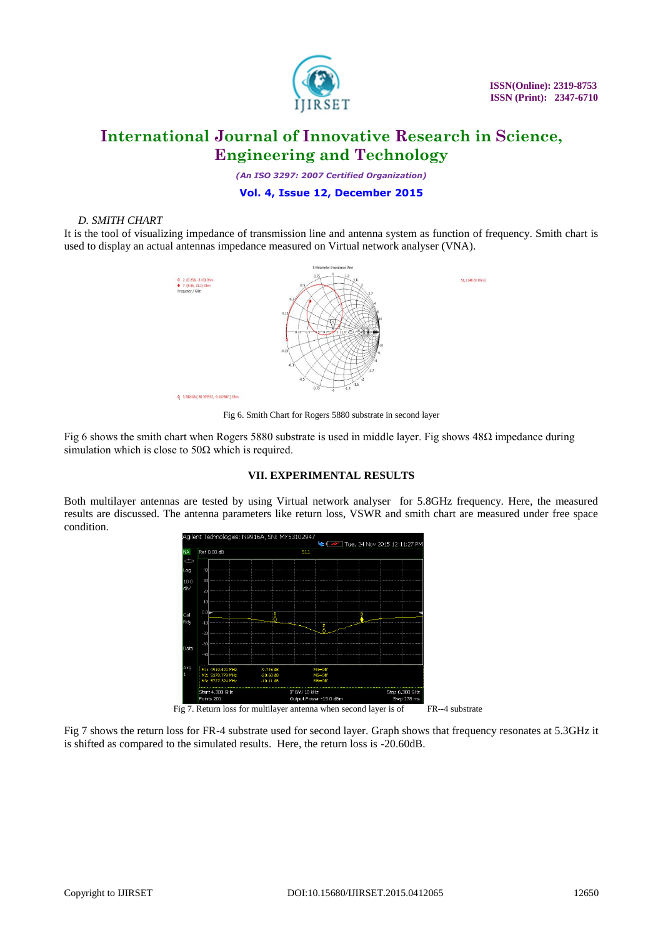

*(An ISO 3297: 2007 Certified Organization)*

**Vol. 4, Issue 12, December 2015**

#### *D. SMITH CHART*

It is the tool of visualizing impedance of transmission line and antenna system as function of frequency. Smith chart is used to display an actual antennas impedance measured on Virtual network analyser (VNA).



Fig 6. Smith Chart for Rogers 5880 substrate in second layer

Fig 6 shows the smith chart when Rogers 5880 substrate is used in middle layer. Fig shows 48Ω impedance during simulation which is close to 50Ω which is required.

### **VII. EXPERIMENTAL RESULTS**

Both multilayer antennas are tested by using Virtual network analyser for 5.8GHz frequency. Here, the measured results are discussed. The antenna parameters like return loss, VSWR and smith chart are measured under free space condition.



Fig 7. Return loss for multilayer antenna when second layer is of FR--4 substrate

Fig 7 shows the return loss for FR-4 substrate used for second layer. Graph shows that frequency resonates at 5.3GHz it is shifted as compared to the simulated results. Here, the return loss is -20.60dB.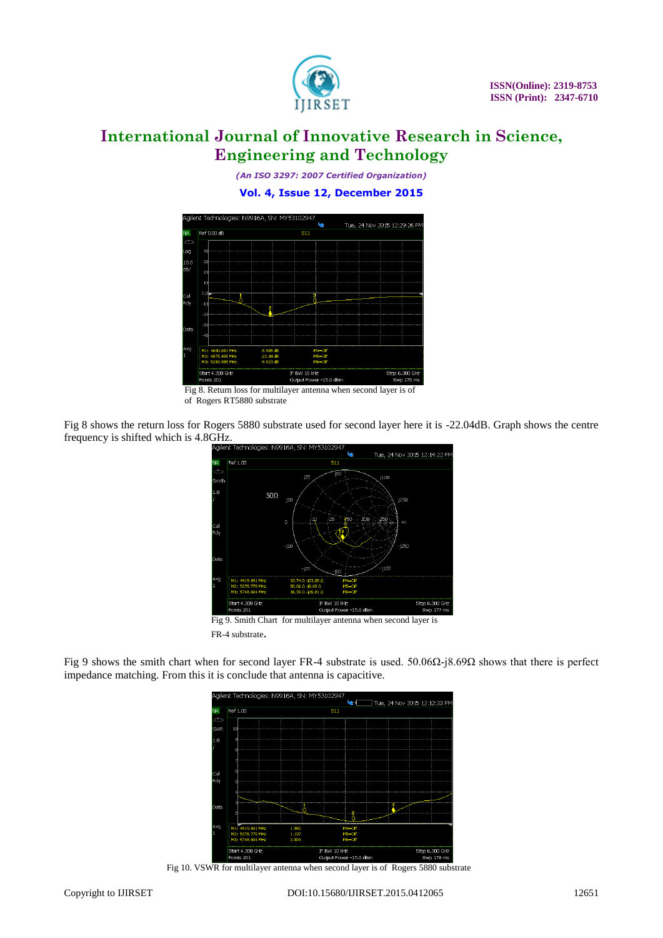

*(An ISO 3297: 2007 Certified Organization)*

**Vol. 4, Issue 12, December 2015**



of Rogers RT5880 substrate

Fig 8 shows the return loss for Rogers 5880 substrate used for second layer here it is -22.04dB. Graph shows the centre frequency is shifted which is 4.8GHz.



FR-4 substrate.

Fig 9 shows the smith chart when for second layer FR-4 substrate is used. 50.06Ω-j8.69Ω shows that there is perfect impedance matching. From this it is conclude that antenna is capacitive.



Fig 10. VSWR for multilayer antenna when second layer is of Rogers 5880 substrate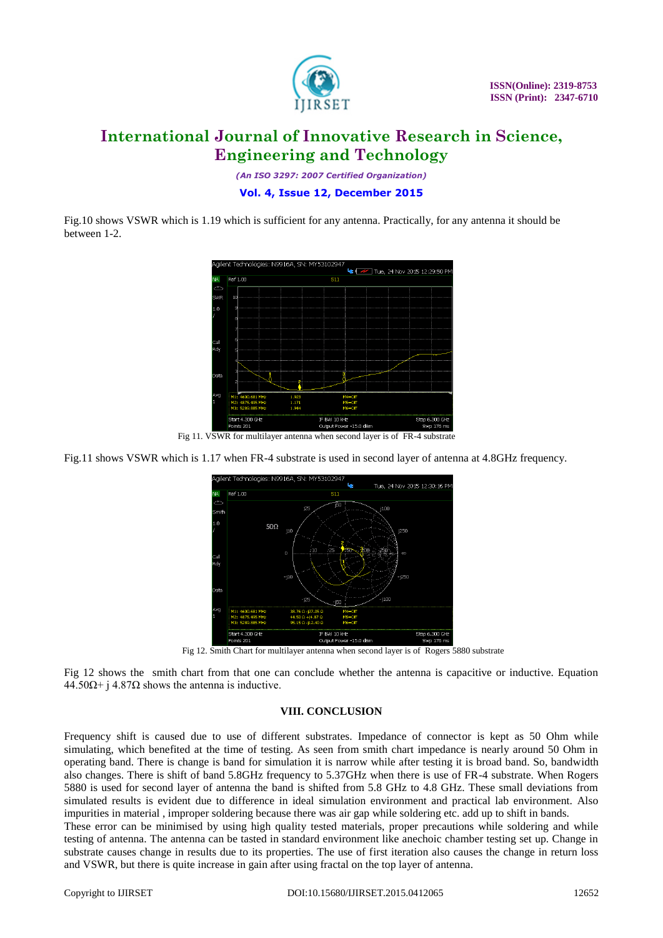

*(An ISO 3297: 2007 Certified Organization)*

#### **Vol. 4, Issue 12, December 2015**

Fig.10 shows VSWR which is 1.19 which is sufficient for any antenna. Practically, for any antenna it should be between 1-2.



Fig 11. VSWR for multilayer antenna when second layer is of FR-4 substrate

Fig.11 shows VSWR which is 1.17 when FR-4 substrate is used in second layer of antenna at 4.8GHz frequency.



Fig 12. Smith Chart for multilayer antenna when second layer is of Rogers 5880 substrate

Fig 12 shows the smith chart from that one can conclude whether the antenna is capacitive or inductive. Equation 44.50 $Ω+$  j 4.87 $Ω$  shows the antenna is inductive.

### **VIII. CONCLUSION**

Frequency shift is caused due to use of different substrates. Impedance of connector is kept as 50 Ohm while simulating, which benefited at the time of testing. As seen from smith chart impedance is nearly around 50 Ohm in operating band. There is change is band for simulation it is narrow while after testing it is broad band. So, bandwidth also changes. There is shift of band 5.8GHz frequency to 5.37GHz when there is use of FR-4 substrate. When Rogers 5880 is used for second layer of antenna the band is shifted from 5.8 GHz to 4.8 GHz. These small deviations from simulated results is evident due to difference in ideal simulation environment and practical lab environment. Also impurities in material , improper soldering because there was air gap while soldering etc. add up to shift in bands. These error can be minimised by using high quality tested materials, proper precautions while soldering and while

testing of antenna. The antenna can be tasted in standard environment like anechoic chamber testing set up. Change in substrate causes change in results due to its properties. The use of first iteration also causes the change in return loss and VSWR, but there is quite increase in gain after using fractal on the top layer of antenna.